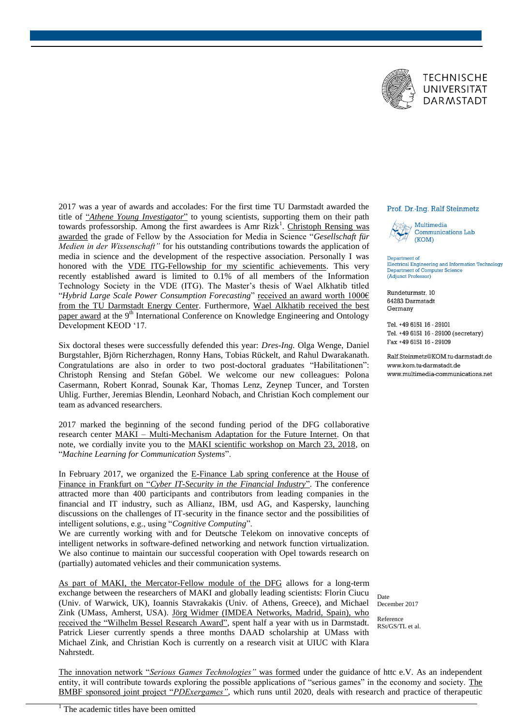

2017 was a year of awards and accolades: For the first time TU Darmstadt awarded the title of "*[Athene Young Investigator](https://blog.multimedia-communications.net/preisverdaechtig-amr-rizk-ist-athene-young-investigator/)*" to young scientists, supporting them on their path towards professorship. Among the first awardees is Amr Rizk<sup>1</sup>. Christoph Rensing was [awarded](https://blog.multimedia-communications.net/medieneinsatz-im-hoersaal-ist-keine-ehrensache/) the grade of Fellow by the Association for Media in Science "*Gesellschaft für Medien in der Wissenschaft"* for his outstanding contributions towards the application of media in science and the development of the respective association. Personally I was honored with the [VDE ITG-Fellowship for my scientific achievements.](https://blog.multimedia-communications.net/verliehen-in-berlin-ralf-steinmetz-ist-itg-fellow/) This very recently established award is limited to 0.1% of all members of the Information Technology Society in the VDE (ITG). The Master's thesis of Wael Alkhatib titled "*Hybrid Large Scale Power Consumption Forecasting*" [received an award worth 1000€](https://blog.multimedia-communications.net/energiepreis-2017-des-tu-darmstadt-energy-center-fuer-wael-alkhatib/)  [from the TU Darmstadt Energy Center.](https://blog.multimedia-communications.net/energiepreis-2017-des-tu-darmstadt-energy-center-fuer-wael-alkhatib/) Furthermore, Wael Alkhatib received the best [paper award](http://www.keod.ic3k.org/PreviousAwards.aspx) at the 9<sup>th</sup> International Conference on Knowledge Engineering and Ontology Development KEOD '17.

Six doctoral theses were successfully defended this year: *Dres-Ing.* Olga Wenge, Daniel Burgstahler, Björn Richerzhagen, Ronny Hans, Tobias Rückelt, and Rahul Dwarakanath. Congratulations are also in order to two post-doctoral graduates "Habilitationen": Christoph Rensing and Stefan Göbel. We welcome our new colleagues: Polona Casermann, Robert Konrad, Sounak Kar, Thomas Lenz, Zeynep Tuncer, and Torsten Uhlig. Further, Jeremias Blendin, Leonhard Nobach, and Christian Koch complement our team as advanced researchers.

2017 marked the beginning of the second funding period of the DFG collaborative research center MAKI – [Multi-Mechanism Adaptation for the Future Internet.](https://www.maki.tu-darmstadt.de/sfb_maki/ueber_maki/index.de.jsp) On that note, we cordially invite you to the [MAKI scientific workshop on March 23, 2018,](https://www.maki.tu-darmstadt.de/vortraege_events/maki_scientific_workshop/2018/agenda.de.jsp) on "*Machine Learning for Communication Systems*".

In February 2017, we organized the E-Finance Lab spring conference at the House of Finance in Frankfurt on "*[Cyber IT-Security in the Financial Industry](https://blog.multimedia-communications.net/e-finance-lab-fruehjahrstagung-2017-cyber-security-im-diskurs/)*". The conference attracted more than 400 participants and contributors from leading companies in the financial and IT industry, such as Allianz, IBM, usd AG, and Kaspersky, launching discussions on the challenges of IT-security in the finance sector and the possibilities of intelligent solutions, e.g., using "*Cognitive Computing*".

We are currently working with and for Deutsche Telekom on innovative concepts of intelligent networks in software-defined networking and network function virtualization. We also continue to maintain our successful cooperation with Opel towards research on (partially) automated vehicles and their communication systems.

[As part of MAKI, the Mercator-Fellow module of the DFG](https://www.maki.tu-darmstadt.de/team_3/mercator_fellow/mercator_fellow.de.jsp) allows for a long-term exchange between the researchers of MAKI and globally leading scientists: Florin Ciucu (Univ. of Warwick, UK), Ioannis Stavrakakis (Univ. of Athens, Greece), and Michael Zink (UMass, Amherst, USA). [Jörg Widmer \(IMDEA Networks, Madrid, Spain\), who](https://blog.multimedia-communications.net/bessel-forschungspreis-traeger-joerg-widmer-zu-gast-bei-kom/)  [received the "Wilhelm Bessel Research Award",](https://blog.multimedia-communications.net/bessel-forschungspreis-traeger-joerg-widmer-zu-gast-bei-kom/) spent half a year with us in Darmstadt. Patrick Lieser currently spends a three months DAAD scholarship at UMass with Michael Zink, and Christian Koch is currently on a research visit at UIUC with Klara Nahrstedt.

## Prof. Dr.-Ing. Ralf Steinmetz



Department of Electrical Engineering and Information Technology Department of Computer Science (Adjunct Professor)

Rundeturmstr. 10 64283 Darmstadt Germany

Tel. +49 6151 16 - 29101 Tel. +49 6151 16 - 29100 (secretary) Fax +49 6151 16 - 29109

Ralf Steinmetz@KOM tu-darmstadt de www.kom.tu-darmstadt.de www.multimedia-communications.net

Date December 2017

Reference RSt/GS/TL et al.

The innovation network "*[Serious Games Technologies"](https://blog.multimedia-communications.net/innovationsnetzwerk-fuer-serious-games-gegruendet/)* was formed under the guidance of httc e.V. As an independent entity, it will contribute towards exploring the possible applications of "serious games" in the economy and society. The [BMBF sponsored joint project "](https://blog.multimedia-communications.net/augmented-feedback-neue-diagnosetechnologie-hilft-beim-rueckentraining-und-soll-rueckenschmerzen-vorbeugen/)*PDExergames"*, which runs until 2020, deals with research and practice of therapeutic